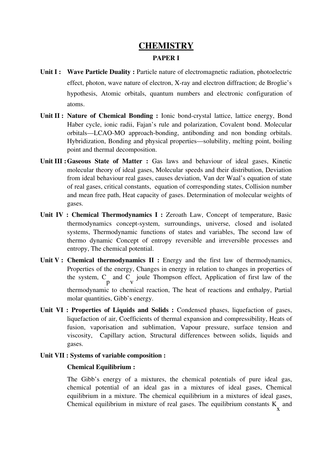# **CHEMISTRY**

## PAPER I

- Unit I: Wave Particle Duality : Particle nature of electromagnetic radiation, photoelectric effect, photon, wave nature of electron, X-ray and electron diffraction; de Broglie's hypothesis, Atomic orbitals, quantum numbers and electronic configuration of atoms.
- Unit II : Nature of Chemical Bonding : Ionic bond-crystal lattice, lattice energy, Bond Haber cycle, ionic radii, Fajan's rule and polarization, Covalent bond. Molecular orbitals—LCAO-MO approach-bonding, antibonding and non bonding orbitals. Hybridization, Bonding and physical properties—solubility, melting point, boiling point and thermal decomposition.
- Unit III : Gaseous State of Matter : Gas laws and behaviour of ideal gases, Kinetic molecular theory of ideal gases, Molecular speeds and their distribution, Deviation from ideal behaviour real gases, causes deviation, Van der Waal's equation of state of real gases, critical constants, equation of corresponding states, Collision number and mean free path, Heat capacity of gases. Determination of molecular weights of gases.
- Unit IV : Chemical Thermodynamics I : Zeroath Law, Concept of temperature, Basic thermodynamics concept-system, surroundings, universe, closed and isolated systems, Thermodynamic functions of states and variables, The second law of thermo dynamic Concept of entropy reversible and irreversible processes and entropy, The chemical potential.
- Unit V : Chemical thermodynamics  $II$  : Energy and the first law of thermodynamics, Properties of the energy, Changes in energy in relation to changes in properties of the system, C p and C v joule Thompson effect, Application of first law of the thermodynamic to chemical reaction, The heat of reactions and enthalpy, Partial molar quantities, Gibb's energy.
- Unit VI : Properties of Liquids and Solids : Condensed phases, liquefaction of gases, liquefaction of air, Coefficients of thermal expansion and compressibility, Heats of fusion, vaporisation and sublimation, Vapour pressure, surface tension and viscosity, Capillary action, Structural differences between solids, liquids and gases.

## Unit VII : Systems of variable composition :

## Chemical Equilibrium :

The Gibb's energy of a mixtures, the chemical potentials of pure ideal gas, chemical potential of an ideal gas in a mixtures of ideal gases, Chemical equilibrium in a mixture. The chemical equilibrium in a mixtures of ideal gases, Chemical equilibrium in mixture of real gases. The equilibrium constants K x and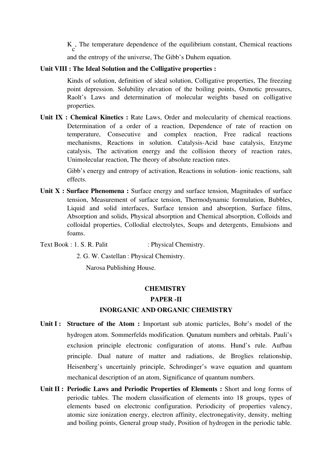K c , The temperature dependence of the equilibrium constant, Chemical reactions

and the entropy of the universe, The Gibb's Duhem equation.

## Unit VIII : The Ideal Solution and the Colligative properties :

Kinds of solution, definition of ideal solution, Colligative properties, The freezing point depression. Solubility elevation of the boiling points, Osmotic pressures, Raolt's Laws and determination of molecular weights based on colligative properties.

Unit IX : Chemical Kinetics : Rate Laws, Order and molecularity of chemical reactions. Determination of a order of a reaction. Dependence of rate of reaction on temperature, Consecutive and complex reaction, Free radical reactions mechanisms, Reactions in solution. Catalysis-Acid base catalysis, Enzyme catalysis, The activation energy and the collision theory of reaction rates, Unimolecular reaction, The theory of absolute reaction rates.

> Gibb's energy and entropy of activation, Reactions in solution-ionic reactions, salt effects.

Unit X : Surface Phenomena : Surface energy and surface tension, Magnitudes of surface tension, Measurement of surface tension, Thermodynamic formulation, Bubbles, Liquid and solid interfaces, Surface tension and absorption, Surface films, Absorption and solids, Physical absorption and Chemical absorption, Colloids and colloidal properties, Collodial electrolytes, Soaps and detergents, Emulsions and foams.

Text Book : 1. S. R. Palit : Physical Chemistry.

2. G. W. Castellan : Physical Chemistry.

Narosa Publishing House.

## **CHEMISTRY**

## PAPER -II

## INORGANIC AND ORGANIC CHEMISTRY

- Unit I: Structure of the Atom : Important sub atomic particles, Bohr's model of the hydrogen atom. Sommerfelds modification. Qunatum numbers and orbitals. Pauli's exclusion principle electronic configuration of atoms. Hund's rule. Aufbau principle. Dual nature of matter and radiations, de Broglies relationship, Heisenberg's uncertainly principle, Schrodinger's wave equation and quantum mechanical description of an atom, Significance of quantum numbers.
- Unit II : Periodic Laws and Periodic Properties of Elements : Short and long forms of periodic tables. The modern classification of elements into 18 groups, types of elements based on electronic configuration. Periodicity of properties valency, atomic size ionization energy, electron affinity, electronegativity, density, melting and boiling points, General group study, Position of hydrogen in the periodic table.